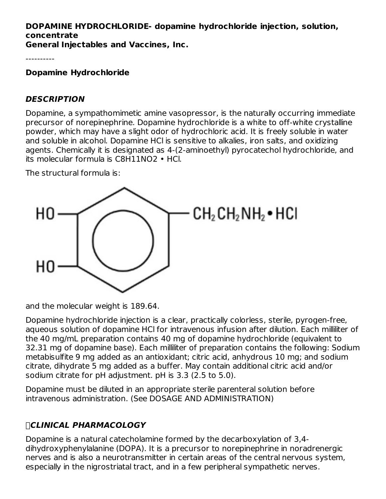# **DOPAMINE HYDROCHLORIDE- dopamine hydrochloride injection, solution, concentrate**

**General Injectables and Vaccines, Inc.**

----------

**Dopamine Hydrochloride**

### **DESCRIPTION**

Dopamine, a sympathomimetic amine vasopressor, is the naturally occurring immediate precursor of norepinephrine. Dopamine hydrochloride is a white to off-white crystalline powder, which may have a slight odor of hydrochloric acid. It is freely soluble in water and soluble in alcohol. Dopamine HCl is sensitive to alkalies, iron salts, and oxidizing agents. Chemically it is designated as 4-(2-aminoethyl) pyrocatechol hydrochloride, and its molecular formula is C8H11NO2 • HCl.

The structural formula is:



and the molecular weight is 189.64.

Dopamine hydrochloride injection is a clear, practically colorless, sterile, pyrogen-free, aqueous solution of dopamine HCl for intravenous infusion after dilution. Each milliliter of the 40 mg/mL preparation contains 40 mg of dopamine hydrochloride (equivalent to 32.31 mg of dopamine base). Each milliliter of preparation contains the following: Sodium metabisulfite 9 mg added as an antioxidant; citric acid, anhydrous 10 mg; and sodium citrate, dihydrate 5 mg added as a buffer. May contain additional citric acid and/or sodium citrate for pH adjustment. pH is 3.3 (2.5 to 5.0).

Dopamine must be diluted in an appropriate sterile parenteral solution before intravenous administration. (See DOSAGE AND ADMINISTRATION)

# **CLINICAL PHARMACOLOGY**

Dopamine is a natural catecholamine formed by the decarboxylation of 3,4 dihydroxyphenylalanine (DOPA). It is a precursor to norepinephrine in noradrenergic nerves and is also a neurotransmitter in certain areas of the central nervous system, especially in the nigrostriatal tract, and in a few peripheral sympathetic nerves.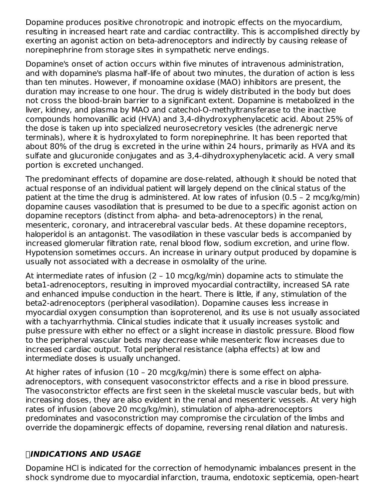Dopamine produces positive chronotropic and inotropic effects on the myocardium, resulting in increased heart rate and cardiac contractility. This is accomplished directly by exerting an agonist action on beta-adrenoceptors and indirectly by causing release of norepinephrine from storage sites in sympathetic nerve endings.

Dopamine's onset of action occurs within five minutes of intravenous administration, and with dopamine's plasma half-life of about two minutes, the duration of action is less than ten minutes. However, if monoamine oxidase (MAO) inhibitors are present, the duration may increase to one hour. The drug is widely distributed in the body but does not cross the blood-brain barrier to a significant extent. Dopamine is metabolized in the liver, kidney, and plasma by MAO and catechol-O-methyltransferase to the inactive compounds homovanillic acid (HVA) and 3,4-dihydroxyphenylacetic acid. About 25% of the dose is taken up into specialized neurosecretory vesicles (the adrenergic nerve terminals), where it is hydroxylated to form norepinephrine. It has been reported that about 80% of the drug is excreted in the urine within 24 hours, primarily as HVA and its sulfate and glucuronide conjugates and as 3,4-dihydroxyphenylacetic acid. A very small portion is excreted unchanged.

The predominant effects of dopamine are dose-related, although it should be noted that actual response of an individual patient will largely depend on the clinical status of the patient at the time the drug is administered. At low rates of infusion (0.5 – 2 mcg/kg/min) dopamine causes vasodilation that is presumed to be due to a specific agonist action on dopamine receptors (distinct from alpha- and beta-adrenoceptors) in the renal, mesenteric, coronary, and intracerebral vascular beds. At these dopamine receptors, haloperidol is an antagonist. The vasodilation in these vascular beds is accompanied by increased glomerular filtration rate, renal blood flow, sodium excretion, and urine flow. Hypotension sometimes occurs. An increase in urinary output produced by dopamine is usually not associated with a decrease in osmolality of the urine.

At intermediate rates of infusion (2 – 10 mcg/kg/min) dopamine acts to stimulate the beta1-adrenoceptors, resulting in improved myocardial contractility, increased SA rate and enhanced impulse conduction in the heart. There is little, if any, stimulation of the beta2-adrenoceptors (peripheral vasodilation). Dopamine causes less increase in myocardial oxygen consumption than isoproterenol, and its use is not usually associated with a tachyarrhythmia. Clinical studies indicate that it usually increases systolic and pulse pressure with either no effect or a slight increase in diastolic pressure. Blood flow to the peripheral vascular beds may decrease while mesenteric flow increases due to increased cardiac output. Total peripheral resistance (alpha effects) at low and intermediate doses is usually unchanged.

At higher rates of infusion (10 – 20 mcg/kg/min) there is some effect on alphaadrenoceptors, with consequent vasoconstrictor effects and a rise in blood pressure. The vasoconstrictor effects are first seen in the skeletal muscle vascular beds, but with increasing doses, they are also evident in the renal and mesenteric vessels. At very high rates of infusion (above 20 mcg/kg/min), stimulation of alpha-adrenoceptors predominates and vasoconstriction may compromise the circulation of the limbs and override the dopaminergic effects of dopamine, reversing renal dilation and naturesis.

### **INDICATIONS AND USAGE**

Dopamine HCl is indicated for the correction of hemodynamic imbalances present in the shock syndrome due to myocardial infarction, trauma, endotoxic septicemia, open-heart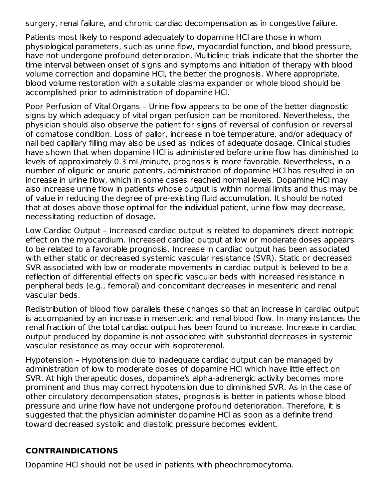shock syndrome due to myocardial infarction, trauma, endotoxic septicemia, open-heart surgery, renal failure, and chronic cardiac decompensation as in congestive failure.

Patients most likely to respond adequately to dopamine HCl are those in whom physiological parameters, such as urine flow, myocardial function, and blood pressure, have not undergone profound deterioration. Multiclinic trials indicate that the shorter the time interval between onset of signs and symptoms and initiation of therapy with blood volume correction and dopamine HCl, the better the prognosis. Where appropriate, blood volume restoration with a suitable plasma expander or whole blood should be accomplished prior to administration of dopamine HCl.

Poor Perfusion of Vital Organs – Urine flow appears to be one of the better diagnostic signs by which adequacy of vital organ perfusion can be monitored. Nevertheless, the physician should also observe the patient for signs of reversal of confusion or reversal of comatose condition. Loss of pallor, increase in toe temperature, and/or adequacy of nail bed capillary filling may also be used as indices of adequate dosage. Clinical studies have shown that when dopamine HCl is administered before urine flow has diminished to levels of approximately 0.3 mL/minute, prognosis is more favorable. Nevertheless, in a number of oliguric or anuric patients, administration of dopamine HCl has resulted in an increase in urine flow, which in some cases reached normal levels. Dopamine HCl may also increase urine flow in patients whose output is within normal limits and thus may be of value in reducing the degree of pre-existing fluid accumulation. It should be noted that at doses above those optimal for the individual patient, urine flow may decrease, necessitating reduction of dosage.

Low Cardiac Output – Increased cardiac output is related to dopamine's direct inotropic effect on the myocardium. Increased cardiac output at low or moderate doses appears to be related to a favorable prognosis. Increase in cardiac output has been associated with either static or decreased systemic vascular resistance (SVR). Static or decreased SVR associated with low or moderate movements in cardiac output is believed to be a reflection of differential effects on specific vascular beds with increased resistance in peripheral beds (e.g., femoral) and concomitant decreases in mesenteric and renal vascular beds.

Redistribution of blood flow parallels these changes so that an increase in cardiac output is accompanied by an increase in mesenteric and renal blood flow. In many instances the renal fraction of the total cardiac output has been found to increase. Increase in cardiac output produced by dopamine is not associated with substantial decreases in systemic vascular resistance as may occur with isoproterenol.

Hypotension – Hypotension due to inadequate cardiac output can be managed by administration of low to moderate doses of dopamine HCl which have little effect on SVR. At high therapeutic doses, dopamine's alpha-adrenergic activity becomes more prominent and thus may correct hypotension due to diminished SVR. As in the case of other circulatory decompensation states, prognosis is better in patients whose blood pressure and urine flow have not undergone profound deterioration. Therefore, it is suggested that the physician administer dopamine HCl as soon as a definite trend toward decreased systolic and diastolic pressure becomes evident.

### **CONTRAINDICATIONS**

Dopamine HCl should not be used in patients with pheochromocytoma.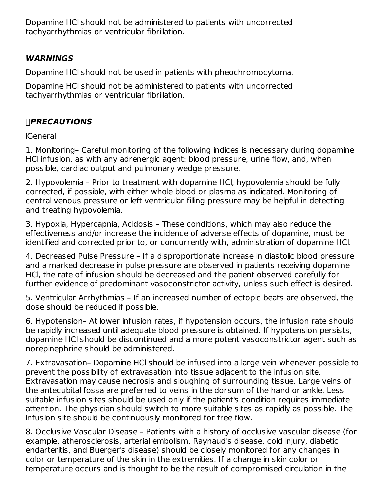Dopamine HCl should not be administered to patients with uncorrected tachyarrhythmias or ventricular fibrillation.

### **WARNINGS**

Dopamine HCl should not be used in patients with pheochromocytoma.

Dopamine HCl should not be administered to patients with uncorrected tachyarrhythmias or ventricular fibrillation.

# **PRECAUTIONS**

lGeneral

1. Monitoring– Careful monitoring of the following indices is necessary during dopamine HCl infusion, as with any adrenergic agent: blood pressure, urine flow, and, when possible, cardiac output and pulmonary wedge pressure.

2. Hypovolemia – Prior to treatment with dopamine HCl, hypovolemia should be fully corrected, if possible, with either whole blood or plasma as indicated. Monitoring of central venous pressure or left ventricular filling pressure may be helpful in detecting and treating hypovolemia.

3. Hypoxia, Hypercapnia, Acidosis – These conditions, which may also reduce the effectiveness and/or increase the incidence of adverse effects of dopamine, must be identified and corrected prior to, or concurrently with, administration of dopamine HCl.

4. Decreased Pulse Pressure – If a disproportionate increase in diastolic blood pressure and a marked decrease in pulse pressure are observed in patients receiving dopamine HCl, the rate of infusion should be decreased and the patient observed carefully for further evidence of predominant vasoconstrictor activity, unless such effect is desired.

5. Ventricular Arrhythmias – If an increased number of ectopic beats are observed, the dose should be reduced if possible.

6. Hypotension– At lower infusion rates, if hypotension occurs, the infusion rate should be rapidly increased until adequate blood pressure is obtained. If hypotension persists, dopamine HCl should be discontinued and a more potent vasoconstrictor agent such as norepinephrine should be administered.

7. Extravasation– Dopamine HCl should be infused into a large vein whenever possible to prevent the possibility of extravasation into tissue adjacent to the infusion site. Extravasation may cause necrosis and sloughing of surrounding tissue. Large veins of the antecubital fossa are preferred to veins in the dorsum of the hand or ankle. Less suitable infusion sites should be used only if the patient's condition requires immediate attention. The physician should switch to more suitable sites as rapidly as possible. The infusion site should be continuously monitored for free flow.

8. Occlusive Vascular Disease – Patients with a history of occlusive vascular disease (for example, atherosclerosis, arterial embolism, Raynaud's disease, cold injury, diabetic endarteritis, and Buerger's disease) should be closely monitored for any changes in color or temperature of the skin in the extremities. If a change in skin color or temperature occurs and is thought to be the result of compromised circulation in the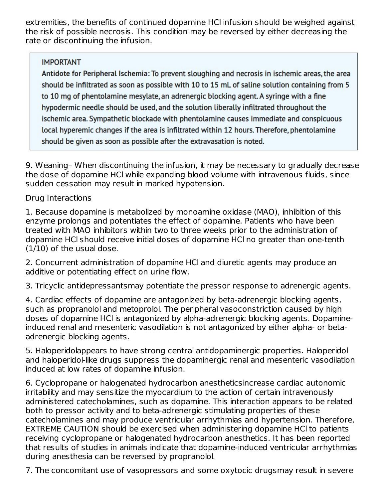extremities, the benefits of continued dopamine HCl infusion should be weighed against the risk of possible necrosis. This condition may be reversed by either decreasing the rate or discontinuing the infusion.

### **IMPORTANT**

Antidote for Peripheral Ischemia: To prevent sloughing and necrosis in ischemic areas, the area should be infiltrated as soon as possible with 10 to 15 mL of saline solution containing from 5 to 10 mg of phentolamine mesylate, an adrenergic blocking agent. A syringe with a fine hypodermic needle should be used, and the solution liberally infiltrated throughout the ischemic area. Sympathetic blockade with phentolamine causes immediate and conspicuous local hyperemic changes if the area is infiltrated within 12 hours. Therefore, phentolamine should be given as soon as possible after the extravasation is noted.

9. Weaning– When discontinuing the infusion, it may be necessary to gradually decrease the dose of dopamine HCl while expanding blood volume with intravenous fluids, since sudden cessation may result in marked hypotension.

### Drug Interactions

1. Because dopamine is metabolized by monoamine oxidase (MAO), inhibition of this enzyme prolongs and potentiates the effect of dopamine. Patients who have been treated with MAO inhibitors within two to three weeks prior to the administration of dopamine HCl should receive initial doses of dopamine HCl no greater than one-tenth (1/10) of the usual dose.

2. Concurrent administration of dopamine HCl and diuretic agents may produce an additive or potentiating effect on urine flow.

3. Tricyclic antidepressantsmay potentiate the pressor response to adrenergic agents.

4. Cardiac effects of dopamine are antagonized by beta-adrenergic blocking agents, such as propranolol and metoprolol. The peripheral vasoconstriction caused by high doses of dopamine HCl is antagonized by alpha-adrenergic blocking agents. Dopamineinduced renal and mesenteric vasodilation is not antagonized by either alpha- or betaadrenergic blocking agents.

5. Haloperidolappears to have strong central antidopaminergic properties. Haloperidol and haloperidol-like drugs suppress the dopaminergic renal and mesenteric vasodilation induced at low rates of dopamine infusion.

6. Cyclopropane or halogenated hydrocarbon anestheticsincrease cardiac autonomic irritability and may sensitize the myocardium to the action of certain intravenously administered catecholamines, such as dopamine. This interaction appears to be related both to pressor activity and to beta-adrenergic stimulating properties of these catecholamines and may produce ventricular arrhythmias and hypertension. Therefore, EXTREME CAUTION should be exercised when administering dopamine HCl to patients receiving cyclopropane or halogenated hydrocarbon anesthetics. It has been reported that results of studies in animals indicate that dopamine-induced ventricular arrhythmias during anesthesia can be reversed by propranolol.

7. The concomitant use of vasopressors and some oxytocic drugsmay result in severe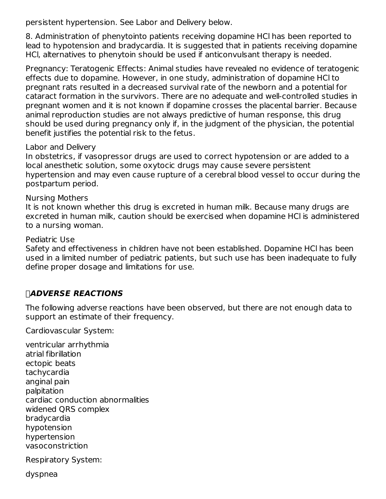persistent hypertension. See Labor and Delivery below.

8. Administration of phenytointo patients receiving dopamine HCl has been reported to lead to hypotension and bradycardia. It is suggested that in patients receiving dopamine HCl, alternatives to phenytoin should be used if anticonvulsant therapy is needed.

Pregnancy: Teratogenic Effects: Animal studies have revealed no evidence of teratogenic effects due to dopamine. However, in one study, administration of dopamine HCl to pregnant rats resulted in a decreased survival rate of the newborn and a potential for cataract formation in the survivors. There are no adequate and well-controlled studies in pregnant women and it is not known if dopamine crosses the placental barrier. Because animal reproduction studies are not always predictive of human response, this drug should be used during pregnancy only if, in the judgment of the physician, the potential benefit justifies the potential risk to the fetus.

#### Labor and Delivery

In obstetrics, if vasopressor drugs are used to correct hypotension or are added to a local anesthetic solution, some oxytocic drugs may cause severe persistent hypertension and may even cause rupture of a cerebral blood vessel to occur during the postpartum period.

#### Nursing Mothers

It is not known whether this drug is excreted in human milk. Because many drugs are excreted in human milk, caution should be exercised when dopamine HCl is administered to a nursing woman.

#### Pediatric Use

Safety and effectiveness in children have not been established. Dopamine HCl has been used in a limited number of pediatric patients, but such use has been inadequate to fully define proper dosage and limitations for use.

### **ADVERSE REACTIONS**

The following adverse reactions have been observed, but there are not enough data to support an estimate of their frequency.

Cardiovascular System:

ventricular arrhythmia atrial fibrillation ectopic beats tachycardia anginal pain palpitation cardiac conduction abnormalities widened QRS complex bradycardia hypotension hypertension vasoconstriction

Respiratory System:

dyspnea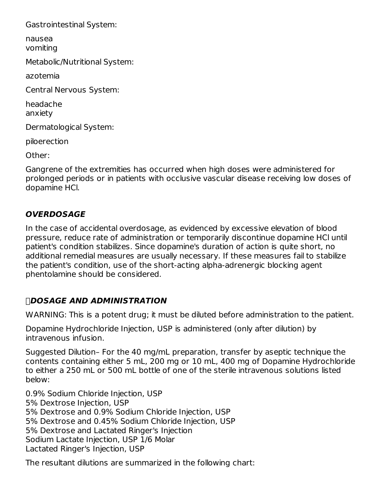Gastrointestinal System:

nausea vomiting

Metabolic/Nutritional System:

azotemia

Central Nervous System:

headache anxiety

Dermatological System:

piloerection

Other:

Gangrene of the extremities has occurred when high doses were administered for prolonged periods or in patients with occlusive vascular disease receiving low doses of dopamine HCl.

### **OVERDOSAGE**

In the case of accidental overdosage, as evidenced by excessive elevation of blood pressure, reduce rate of administration or temporarily discontinue dopamine HCl until patient's condition stabilizes. Since dopamine's duration of action is quite short, no additional remedial measures are usually necessary. If these measures fail to stabilize the patient's condition, use of the short-acting alpha-adrenergic blocking agent phentolamine should be considered.

### **DOSAGE AND ADMINISTRATION**

WARNING: This is a potent drug; it must be diluted before administration to the patient.

Dopamine Hydrochloride Injection, USP is administered (only after dilution) by intravenous infusion.

Suggested Dilution– For the 40 mg/mL preparation, transfer by aseptic technique the contents containing either 5 mL, 200 mg or 10 mL, 400 mg of Dopamine Hydrochloride to either a 250 mL or 500 mL bottle of one of the sterile intravenous solutions listed below:

0.9% Sodium Chloride Injection, USP 5% Dextrose Injection, USP 5% Dextrose and 0.9% Sodium Chloride Injection, USP 5% Dextrose and 0.45% Sodium Chloride Injection, USP 5% Dextrose and Lactated Ringer's Injection Sodium Lactate Injection, USP 1/6 Molar Lactated Ringer's Injection, USP

The resultant dilutions are summarized in the following chart: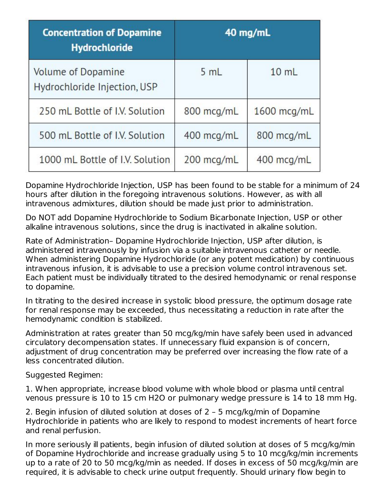| <b>Concentration of Dopamine</b><br><b>Hydrochloride</b> | 40 mg/mL   |                 |  |
|----------------------------------------------------------|------------|-----------------|--|
| Volume of Dopamine<br>Hydrochloride Injection, USP       | 5 mL       | $10 \text{ mL}$ |  |
| 250 mL Bottle of I.V. Solution                           | 800 mcg/mL | 1600 mcg/mL     |  |
| 500 mL Bottle of I.V. Solution                           | 400 mcg/mL | 800 mcg/mL      |  |
| 1000 mL Bottle of I.V. Solution                          | 200 mcg/mL | 400 mcg/mL      |  |

Dopamine Hydrochloride Injection, USP has been found to be stable for a minimum of 24 hours after dilution in the foregoing intravenous solutions. However, as with all intravenous admixtures, dilution should be made just prior to administration.

Do NOT add Dopamine Hydrochloride to Sodium Bicarbonate Injection, USP or other alkaline intravenous solutions, since the drug is inactivated in alkaline solution.

Rate of Administration– Dopamine Hydrochloride Injection, USP after dilution, is administered intravenously by infusion via a suitable intravenous catheter or needle. When administering Dopamine Hydrochloride (or any potent medication) by continuous intravenous infusion, it is advisable to use a precision volume control intravenous set. Each patient must be individually titrated to the desired hemodynamic or renal response to dopamine.

In titrating to the desired increase in systolic blood pressure, the optimum dosage rate for renal response may be exceeded, thus necessitating a reduction in rate after the hemodynamic condition is stabilized.

Administration at rates greater than 50 mcg/kg/min have safely been used in advanced circulatory decompensation states. If unnecessary fluid expansion is of concern, adjustment of drug concentration may be preferred over increasing the flow rate of a less concentrated dilution.

Suggested Regimen:

1. When appropriate, increase blood volume with whole blood or plasma until central venous pressure is 10 to 15 cm H2O or pulmonary wedge pressure is 14 to 18 mm Hg.

2. Begin infusion of diluted solution at doses of 2 – 5 mcg/kg/min of Dopamine Hydrochloride in patients who are likely to respond to modest increments of heart force and renal perfusion.

In more seriously ill patients, begin infusion of diluted solution at doses of 5 mcg/kg/min of Dopamine Hydrochloride and increase gradually using 5 to 10 mcg/kg/min increments up to a rate of 20 to 50 mcg/kg/min as needed. If doses in excess of 50 mcg/kg/min are required, it is advisable to check urine output frequently. Should urinary flow begin to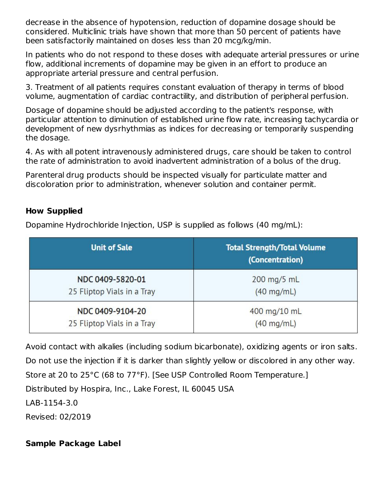decrease in the absence of hypotension, reduction of dopamine dosage should be considered. Multiclinic trials have shown that more than 50 percent of patients have been satisfactorily maintained on doses less than 20 mcg/kg/min.

In patients who do not respond to these doses with adequate arterial pressures or urine flow, additional increments of dopamine may be given in an effort to produce an appropriate arterial pressure and central perfusion.

3. Treatment of all patients requires constant evaluation of therapy in terms of blood volume, augmentation of cardiac contractility, and distribution of peripheral perfusion.

Dosage of dopamine should be adjusted according to the patient's response, with particular attention to diminution of established urine flow rate, increasing tachycardia or development of new dysrhythmias as indices for decreasing or temporarily suspending the dosage.

4. As with all potent intravenously administered drugs, care should be taken to control the rate of administration to avoid inadvertent administration of a bolus of the drug.

Parenteral drug products should be inspected visually for particulate matter and discoloration prior to administration, whenever solution and container permit.

# **How Supplied**

Dopamine Hydrochloride Injection, USP is supplied as follows (40 mg/mL):

| <b>Unit of Sale</b>        | <b>Total Strength/Total Volume</b><br>(Concentration) |  |  |
|----------------------------|-------------------------------------------------------|--|--|
| NDC 0409-5820-01           | 200 mg/5 mL                                           |  |  |
| 25 Fliptop Vials in a Tray | $(40 \text{ mg/mL})$                                  |  |  |
| NDC 0409-9104-20           | 400 mg/10 mL                                          |  |  |
| 25 Fliptop Vials in a Tray | $(40 \text{ mg/mL})$                                  |  |  |

Avoid contact with alkalies (including sodium bicarbonate), oxidizing agents or iron salts. Do not use the injection if it is darker than slightly yellow or discolored in any other way. Store at 20 to 25°C (68 to 77°F). [See USP Controlled Room Temperature.] Distributed by Hospira, Inc., Lake Forest, IL 60045 USA LAB-1154-3.0 Revised: 02/2019

### **Sample Package Label**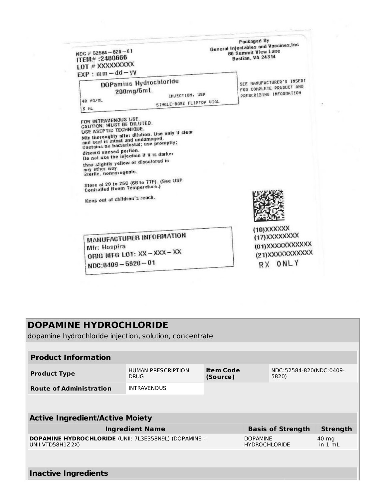| NOC # 52584 - 820 - 01<br>ITEM#:2480666<br>LOT # XXXXXXXXX<br>$EXP: mm - dd - YY$                                                                                                                                                                                                                                                                                                                       |                                                                                              | Packaged By<br>General Injectables and Vaccines, Inc.<br>80 Summit View Lane<br>Bastian, VA 24314 |
|---------------------------------------------------------------------------------------------------------------------------------------------------------------------------------------------------------------------------------------------------------------------------------------------------------------------------------------------------------------------------------------------------------|----------------------------------------------------------------------------------------------|---------------------------------------------------------------------------------------------------|
| 40 HG/HL<br>5 ML                                                                                                                                                                                                                                                                                                                                                                                        | DOPamine Hydrochloride<br>200mg/5mL<br>INJECTION, USP<br>SINGLE-DOSE FLIPTOP UIAL            | SEE MANUFACTURER'S INSERT<br>FOR CONPLETE PRODUCT AND<br>PRESCRIBING INFORMATION                  |
| FOR INTRAVENOUS USE.<br><b>CAUTION: MUST BE DILUTED.</b><br>USE ASEPTIC TECHNIQUE.<br>and seal is intact and undamaged.<br>Contains no bacteriostat; use promptly;<br>discard unused portion.<br>Do not use the injection it it is darker<br>than slightly yellow or discolored in<br>any other way.<br>Sterile, nonpyrogenic.<br><b>Controlled Room Temperature.)</b><br>Keep out of children's reach. | Mix thoroughly after dilution. Use only if clear<br>Store at 20 to 250 (68 to 77F). (See USP | (10)XXXXXX                                                                                        |
| Mfr: Hospira<br>NDC:0409-5820-01                                                                                                                                                                                                                                                                                                                                                                        | MANUFACTURER INFORMATION<br>ORIG MFG LOT: XX-XXX-XX                                          | (17) XXXXXXXX<br>(01) XXXXXXXXXXX<br>(21) XXXXXXXXXXX<br>RX ONLY                                  |

 $\mathcal{A}$ 

**ISS** 

 $\sim$ 

ľ

| <b>DOPAMINE HYDROCHLORIDE</b><br>dopamine hydrochloride injection, solution, concentrate |                                          |                              |                                         |                                  |                    |
|------------------------------------------------------------------------------------------|------------------------------------------|------------------------------|-----------------------------------------|----------------------------------|--------------------|
|                                                                                          |                                          |                              |                                         |                                  |                    |
| <b>Product Information</b>                                                               |                                          |                              |                                         |                                  |                    |
| <b>Product Type</b>                                                                      | <b>HUMAN PRESCRIPTION</b><br><b>DRUG</b> | <b>Item Code</b><br>(Source) |                                         | NDC:52584-820(NDC:0409-<br>5820) |                    |
| <b>Route of Administration</b>                                                           | <b>INTRAVENOUS</b>                       |                              |                                         |                                  |                    |
|                                                                                          |                                          |                              |                                         |                                  |                    |
| <b>Active Ingredient/Active Moiety</b>                                                   |                                          |                              |                                         |                                  |                    |
|                                                                                          | <b>Ingredient Name</b>                   |                              |                                         | <b>Basis of Strength</b>         | <b>Strength</b>    |
| DOPAMINE HYDROCHLORIDE (UNII: 7L3E358N9L) (DOPAMINE -<br>UNII: VTD58H1Z2X)               |                                          |                              | <b>DOPAMINE</b><br><b>HYDROCHLORIDE</b> |                                  | 40 mg<br>in $1 mL$ |
|                                                                                          |                                          |                              |                                         |                                  |                    |
| <b>Inactive Ingredients</b>                                                              |                                          |                              |                                         |                                  |                    |